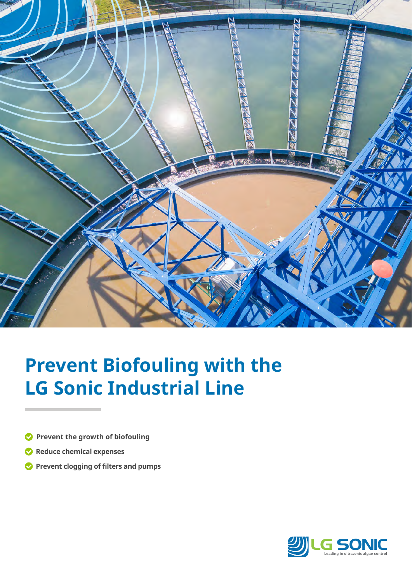

# **Prevent Biofouling with the LG Sonic Industrial Line**

- **Prevent the growth of biofouling**
- **Reduce chemical expenses**
- **Prevent clogging of filters and pumps**

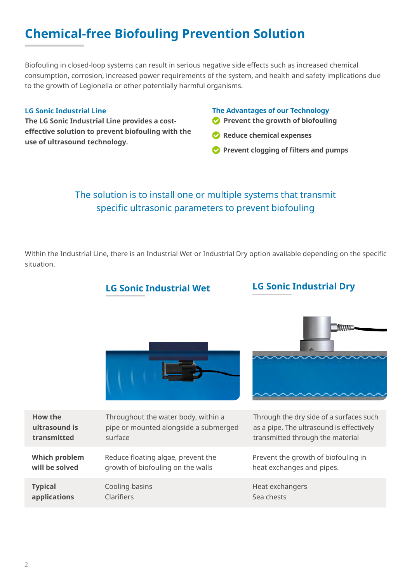# **Chemical-free Biofouling Prevention Solution**

Biofouling in closed-loop systems can result in serious negative side effects such as increased chemical consumption, corrosion, increased power requirements of the system, and health and safety implications due to the growth of Legionella or other potentially harmful organisms.

#### **LG Sonic Industrial Line**

**The LG Sonic Industrial Line provides a costeffective solution to prevent biofouling with the use of ultrasound technology.**

#### **The Advantages of our Technology**

- **Prevent the growth of biofouling**
- **Reduce chemical expenses**
- **Prevent clogging of filters and pumps**

# The solution is to install one or multiple systems that transmit specific ultrasonic parameters to prevent biofouling

Within the Industrial Line, there is an Industrial Wet or Industrial Dry option available depending on the specific situation.

### **LG Sonic Industrial Wet LG Sonic Industrial Dry**





| How the              | Throughout the water body, within a   | Through the dry side of a surfaces such  |
|----------------------|---------------------------------------|------------------------------------------|
| ultrasound is        | pipe or mounted alongside a submerged | as a pipe. The ultrasound is effectively |
| transmitted          | surface                               | transmitted through the material         |
| <b>Which problem</b> | Reduce floating algae, prevent the    | Prevent the growth of biofouling in      |
| will be solved       | growth of biofouling on the walls     | heat exchanges and pipes.                |
| <b>Typical</b>       | Cooling basins                        | Heat exchangers                          |
| applications         | <b>Clarifiers</b>                     | Sea chests                               |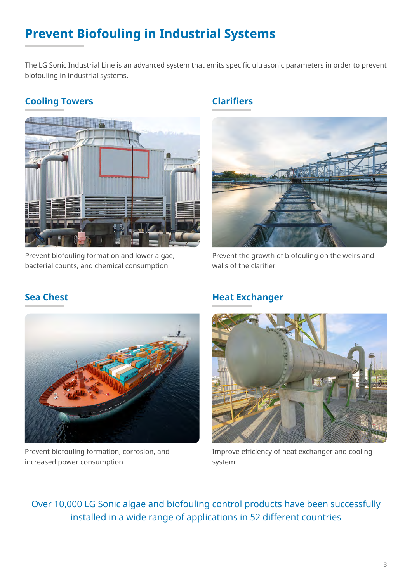# **Prevent Biofouling in Industrial Systems**

The LG Sonic Industrial Line is an advanced system that emits specific ultrasonic parameters in order to prevent biofouling in industrial systems.

# **Cooling Towers**



Prevent biofouling formation and lower algae, bacterial counts, and chemical consumption

# **Clarifiers**



Prevent the growth of biofouling on the weirs and walls of the clarifier



Prevent biofouling formation, corrosion, and increased power consumption

### **Heat Exchanger**



Improve efficiency of heat exchanger and cooling system

Over 10,000 LG Sonic algae and biofouling control products have been successfully installed in a wide range of applications in 52 different countries

# **Sea Chest**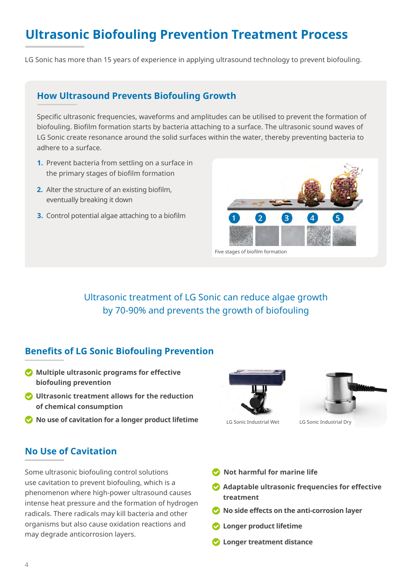# **Ultrasonic Biofouling Prevention Treatment Process**

LG Sonic has more than 15 years of experience in applying ultrasound technology to prevent biofouling.

#### **How Ultrasound Prevents Biofouling Growth**

Specific ultrasonic frequencies, waveforms and amplitudes can be utilised to prevent the formation of biofouling. Biofilm formation starts by bacteria attaching to a surface. The ultrasonic sound waves of LG Sonic create resonance around the solid surfaces within the water, thereby preventing bacteria to adhere to a surface.

- **1.** Prevent bacteria from settling on a surface in the primary stages of biofilm formation
- Alter the structure of an existing biofilm, **2.** eventually breaking it down
- **3.** Control potential algae attaching to a biofilm



Ultrasonic treatment of LG Sonic can reduce algae growth by 70-90% and prevents the growth of biofouling

### **Benefits of LG Sonic Biofouling Prevention**

- **Multiple ultrasonic programs for effective biofouling prevention**
- **Ultrasonic treatment allows for the reduction of chemical consumption**
- **No use of cavitation for a longer product lifetime**

### **No Use of Cavitation**

Some ultrasonic biofouling control solutions use cavitation to prevent biofouling, which is a phenomenon where high-power ultrasound causes intense heat pressure and the formation of hydrogen radicals. There radicals may kill bacteria and other organisms but also cause oxidation reactions and may degrade anticorrosion layers.





LG Sonic Industrial Wet LG Sonic Industrial Dry

- **Not harmful for marine life**
- **Adaptable ultrasonic frequencies for effective treatment**
- **No side effects on the anti-corrosion layer**
- **Longer product lifetime**
- **Longer treatment distance**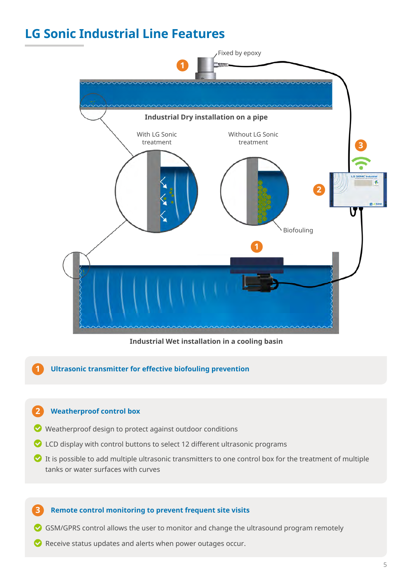# **LG Sonic Industrial Line Features**



**Industrial Wet installation in a cooling basin**

#### **1 Ultrasonic transmitter for effective biofouling prevention**

#### **2 Weatherproof control box**

- Weatherproof design to protect against outdoor conditions
- $\bullet$  LCD display with control buttons to select 12 different ultrasonic programs
- $\bullet$  It is possible to add multiple ultrasonic transmitters to one control box for the treatment of multiple tanks or water surfaces with curves

#### **3 Remote control monitoring to prevent frequent site visits**

- GSM/GPRS control allows the user to monitor and change the ultrasound program remotely
- $\bullet$  Receive status updates and alerts when power outages occur.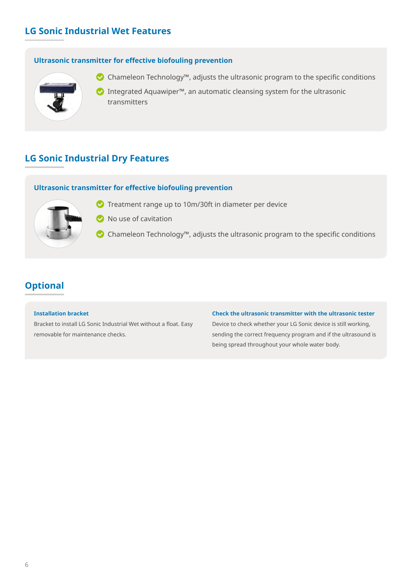# **LG Sonic Industrial Wet Features**

#### **Ultrasonic transmitter for effective biofouling prevention**



Chameleon Technology™, adjusts the ultrasonic program to the specific conditions

Integrated Aquawiper™, an automatic cleansing system for the ultrasonic transmitters

### **LG Sonic Industrial Dry Features**

#### **Ultrasonic transmitter for effective biofouling prevention**



- Treatment range up to 10m/30ft in diameter per device
- $\bullet$  No use of cavitation
- Chameleon Technology™, adjusts the ultrasonic program to the specific conditions

# **Optional**

#### **Installation bracket**

Bracket to install LG Sonic Industrial Wet without a float. Easy removable for maintenance checks.

#### **Check the ultrasonic transmitter with the ultrasonic tester**

Device to check whether your LG Sonic device is still working, sending the correct frequency program and if the ultrasound is being spread throughout your whole water body.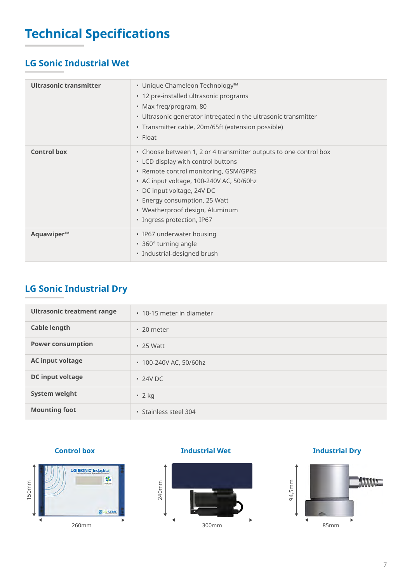# **Technical Specifications**

# **LG Sonic Industrial Wet**

| <b>Ultrasonic transmitter</b> | • Unique Chameleon Technology™<br>• 12 pre-installed ultrasonic programs<br>• Max freq/program, 80<br>• Ultrasonic generator intregated n the ultrasonic transmitter<br>• Transmitter cable, 20m/65ft (extension possible)<br>$\cdot$ Float                                                                                  |
|-------------------------------|------------------------------------------------------------------------------------------------------------------------------------------------------------------------------------------------------------------------------------------------------------------------------------------------------------------------------|
| <b>Control box</b>            | • Choose between 1, 2 or 4 transmitter outputs to one control box<br>• LCD display with control buttons<br>• Remote control monitoring, GSM/GPRS<br>• AC input voltage, 100-240V AC, 50/60hz<br>• DC input voltage, 24V DC<br>• Energy consumption, 25 Watt<br>• Weatherproof design, Aluminum<br>· Ingress protection, IP67 |
| Aquawiper™                    | • IP67 underwater housing<br>• 360° turning angle<br>• Industrial-designed brush                                                                                                                                                                                                                                             |

# **LG Sonic Industrial Dry**

| <b>Ultrasonic treatment range</b> | • 10-15 meter in diameter |
|-----------------------------------|---------------------------|
| <b>Cable length</b>               | $\cdot$ 20 meter          |
| <b>Power consumption</b>          | $\cdot$ 25 Watt           |
| <b>AC input voltage</b>           | • 100-240V AC, 50/60hz    |
| <b>DC</b> input voltage           | $\cdot$ 24V DC            |
| <b>System weight</b>              | $\cdot$ 2 kg              |
| <b>Mounting foot</b>              | • Stainless steel 304     |

#### **Control box**



#### **Industrial Wet**



**Industrial Dry**

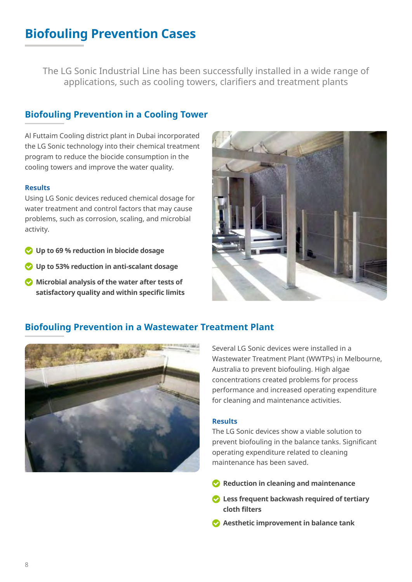# **Biofouling Prevention Cases**

The LG Sonic Industrial Line has been successfully installed in a wide range of applications, such as cooling towers, clarifiers and treatment plants

# **Biofouling Prevention in a Cooling Tower**

Al Futtaim Cooling district plant in Dubai incorporated the LG Sonic technology into their chemical treatment program to reduce the biocide consumption in the cooling towers and improve the water quality.

#### **Results**

Using LG Sonic devices reduced chemical dosage for water treatment and control factors that may cause problems, such as corrosion, scaling, and microbial activity.

- **Up to 69 % reduction in biocide dosage**
- **Up to 53% reduction in anti-scalant dosage**
- **Microbial analysis of the water after tests of satisfactory quality and within specific limits**



### **Biofouling Prevention in a Wastewater Treatment Plant**



Several LG Sonic devices were installed in a Wastewater Treatment Plant (WWTPs) in Melbourne, Australia to prevent biofouling. High algae concentrations created problems for process performance and increased operating expenditure for cleaning and maintenance activities.

#### **Results**

The LG Sonic devices show a viable solution to prevent biofouling in the balance tanks. Significant operating expenditure related to cleaning maintenance has been saved.

- **Reduction in cleaning and maintenance**
- **Less frequent backwash required of tertiary cloth filters**
- **Aesthetic improvement in balance tank**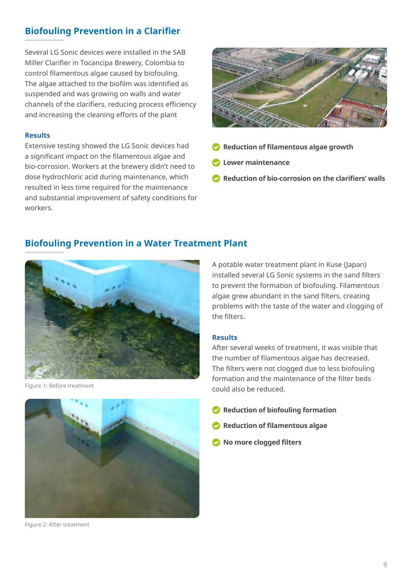# **Biofouling Prevention in a Clarifier**

Several LG Sonic devices were installed in the SAB Miller Clarifier in Tocancipa Brewery, Colombia to control filamentous algae caused by biofouling. The algae attached to the biofilm was identified as suspended and was growing on walls and water channels of the clarifiers, reducing process efficiency and increasing the cleaning efforts of the plant

#### **Results**

Extensive testing showed the LG Sonic devices had a significant impact on the filamentous algae and bio-corrosion. Workers at the brewery didn't need to dose hydrochloric acid during maintenance, which resulted in less time required for the maintenance and substantial improvement of safety conditions for workers.



- **Reduction of filamentous algae growth**
- **Lower maintenance**
- **Reduction of bio-corrosion on the clarifiers' walls**

### **Biofouling Prevention in a Water Treatment Plant**



Figure 1: Before treatment

A potable water treatment plant in Kuse (Japan) installed several LG Sonic systems in the sand filters to prevent the formation of biofouling. Filamentous algae grew abundant in the sand filters, creating problems with the taste of the water and clogging of the filters.

#### **Results**

After several weeks of treatment, it was visible that the number of filamentous algae has decreased. The filters were not clogged due to less biofouling formation and the maintenance of the filter beds could also be reduced.

- **Reduction of biofouling formation**
- **Reduction of filamentous algae**
- **No more clogged filters**



Figure 2: After treatment